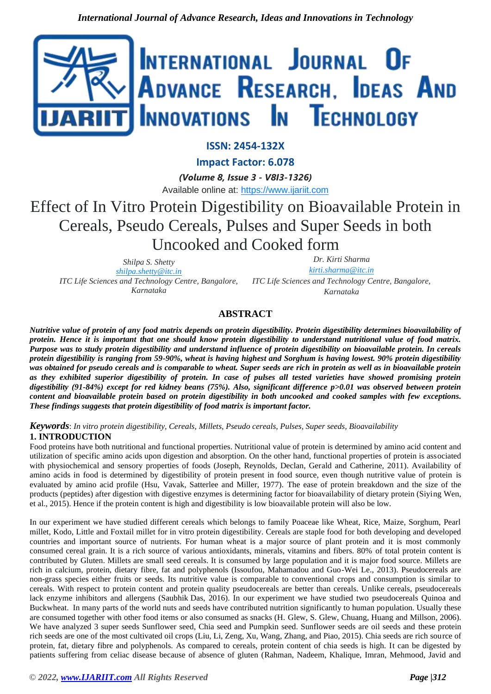

# **ISSN: 2454-132X**

**Impact Factor: 6.078**

*(Volume 8, Issue 3 - V8I3-1326)*

Available online at: [https://www.ijariit.com](https://www.ijariit.com/?utm_source=pdf&utm_medium=edition&utm_campaign=OmAkSols&utm_term=V8I3-1326)

# Effect of In Vitro Protein Digestibility on Bioavailable Protein in Cereals, Pseudo Cereals, Pulses and Super Seeds in both Uncooked and Cooked form

*Shilpa S. Shetty [shilpa.shetty@itc.in](mailto:shilpa.shetty@itc.in) ITC Life Sciences and Technology Centre, Bangalore, Karnataka*

*Dr. Kirti Sharma [kirti.sharma@itc.in](mailto:kirti.sharma@itc.in) ITC Life Sciences and Technology Centre, Bangalore,* 

*Karnataka*

## **ABSTRACT**

*Nutritive value of protein of any food matrix depends on protein digestibility. Protein digestibility determines bioavailability of protein. Hence it is important that one should know protein digestibility to understand nutritional value of food matrix. Purpose was to study protein digestibility and understand influence of protein digestibility on bioavailable protein. In cereals protein digestibility is ranging from 59-90%, wheat is having highest and Sorghum is having lowest. 90% protein digestibility was obtained for pseudo cereals and is comparable to wheat. Super seeds are rich in protein as well as in bioavailable protein as they exhibited superior digestibility of protein. In case of pulses all tested varieties have showed promising protein digestibility (91-84%) except for red kidney beans (75%). Also, significant difference p>0.01 was observed between protein content and bioavailable protein based on protein digestibility in both uncooked and cooked samples with few exceptions. These findings suggests that protein digestibility of food matrix is important factor.*

## *Keywords*: *In vitro protein digestibility, Cereals, Millets, Pseudo cereals, Pulses, Super seeds, Bioavailability* **1. INTRODUCTION**

Food proteins have both nutritional and functional properties. Nutritional value of protein is determined by amino acid content and utilization of specific amino acids upon digestion and absorption. On the other hand, functional properties of protein is associated with physiochemical and sensory properties of foods (Joseph, Reynolds, Declan, Gerald and Catherine, 2011). Availability of amino acids in food is determined by digestibility of protein present in food source, even though nutritive value of protein is evaluated by amino acid profile (Hsu, Vavak, Satterlee and Miller, 1977). The ease of protein breakdown and the size of the products (peptides) after digestion with digestive enzymes is determining factor for bioavailability of dietary protein (Siying Wen, et al., 2015). Hence if the protein content is high and digestibility is low bioavailable protein will also be low.

In our experiment we have studied different cereals which belongs to family Poaceae like Wheat, Rice, Maize, Sorghum, Pearl millet, Kodo, Little and Foxtail millet for in vitro protein digestibility. Cereals are staple food for both developing and developed countries and important source of nutrients. For human wheat is a major source of plant protein and it is most commonly consumed cereal grain. It is a rich source of various antioxidants, minerals, vitamins and fibers. 80% of total protein content is contributed by Gluten. Millets are small seed cereals. It is consumed by large population and it is major food source. Millets are rich in calcium, protein, dietary fibre, fat and polyphenols (Issoufou, Mahamadou and Guo-Wei Le., 2013). Pseudocereals are non-grass species either fruits or seeds. Its nutritive value is comparable to conventional crops and consumption is similar to cereals. With respect to protein content and protein quality pseudocereals are better than cereals. Unlike cereals, pseudocereals lack enzyme inhibitors and allergens (Saubhik Das, 2016). In our experiment we have studied two pseudocereals Quinoa and Buckwheat. In many parts of the world nuts and seeds have contributed nutrition significantly to human population. Usually these are consumed together with other food items or also consumed as snacks (H. Glew, S. Glew, Chuang, Huang and Millson, 2006). We have analyzed 3 super seeds Sunflower seed, Chia seed and Pumpkin seed. Sunflower seeds are oil seeds and these protein rich seeds are one of the most cultivated oil crops (Liu, Li, Zeng, Xu, Wang, Zhang, and Piao, 2015). Chia seeds are rich source of protein, fat, dietary fibre and polyphenols. As compared to cereals, protein content of chia seeds is high. It can be digested by patients suffering from celiac disease because of absence of gluten (Rahman, Nadeem, Khalique, Imran, Mehmood, Javid and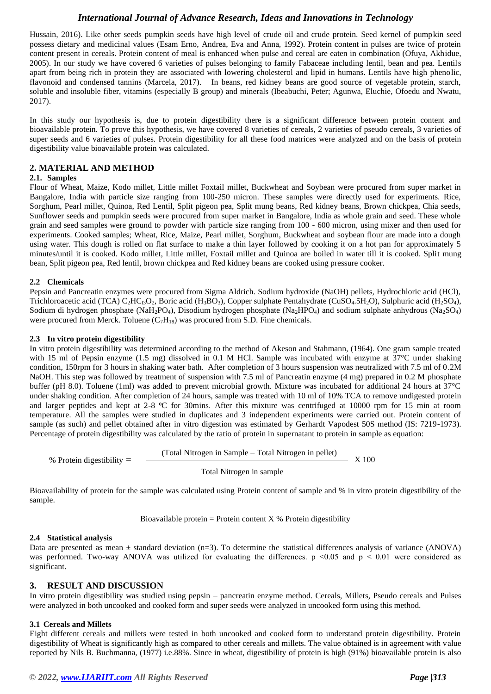Hussain, 2016). Like other seeds pumpkin seeds have high level of crude oil and crude protein. Seed kernel of pumpkin seed possess dietary and medicinal values (Esam Erno, Andrea, Eva and Anna, 1992). Protein content in pulses are twice of protein content present in cereals. Protein content of meal is enhanced when pulse and cereal are eaten in combination (Ofuya, Akhidue, 2005). In our study we have covered 6 varieties of pulses belonging to family Fabaceae including lentil, bean and pea. Lentils apart from being rich in protein they are associated with lowering cholesterol and lipid in humans. Lentils have high phenolic, flavonoid and condensed tannins (Marcela, 2017). In beans, red kidney beans are good source of vegetable protein, starch, soluble and insoluble fiber, vitamins (especially B group) and minerals (Ibeabuchi, Peter; Agunwa, Eluchie, Ofoedu and Nwatu, 2017).

In this study our hypothesis is, due to protein digestibility there is a significant difference between protein content and bioavailable protein. To prove this hypothesis, we have covered 8 varieties of cereals, 2 varieties of pseudo cereals, 3 varieties of super seeds and 6 varieties of pulses. Protein digestibility for all these food matrices were analyzed and on the basis of protein digestibility value bioavailable protein was calculated.

## **2. MATERIAL AND METHOD**

#### **2.1. Samples**

Flour of Wheat, Maize, Kodo millet, Little millet Foxtail millet, Buckwheat and Soybean were procured from super market in Bangalore, India with particle size ranging from 100-250 micron. These samples were directly used for experiments. Rice, Sorghum, Pearl millet, Quinoa, Red Lentil, Split pigeon pea, Split mung beans, Red kidney beans, Brown chickpea, Chia seeds, Sunflower seeds and pumpkin seeds were procured from super market in Bangalore, India as whole grain and seed. These whole grain and seed samples were ground to powder with particle size ranging from 100 - 600 micron, using mixer and then used for experiments. Cooked samples; Wheat, Rice, Maize, Pearl millet, Sorghum, Buckwheat and soybean flour are made into a dough using water. This dough is rolled on flat surface to make a thin layer followed by cooking it on a hot pan for approximately 5 minutes/until it is cooked. Kodo millet, Little millet, Foxtail millet and Quinoa are boiled in water till it is cooked. Split mung bean, Split pigeon pea, Red lentil, brown chickpea and Red kidney beans are cooked using pressure cooker.

#### **2.2 Chemicals**

Pepsin and Pancreatin enzymes were procured from Sigma Aldrich. Sodium hydroxide (NaOH) pellets, Hydrochloric acid (HCl), Trichloroacetic acid (TCA)  $C_2HC_13O_2$ , Boric acid (H<sub>3</sub>BO<sub>3</sub>), Copper sulphate Pentahydrate (CuSO<sub>4</sub>.5H<sub>2</sub>O), Sulphuric acid (H<sub>2</sub>SO<sub>4</sub>), Sodium di hydrogen phosphate (NaH<sub>2</sub>PO<sub>4</sub>), Disodium hydrogen phosphate (Na<sub>2</sub>HPO<sub>4</sub>) and sodium sulphate anhydrous (Na<sub>2</sub>SO<sub>4</sub>) were procured from Merck. Toluene  $(C_7H_{18})$  was procured from S.D. Fine chemicals.

#### **2.3 In vitro protein digestibility**

In vitro protein digestibility was determined according to the method of Akeson and Stahmann, (1964). One gram sample treated with 15 ml of Pepsin enzyme (1.5 mg) dissolved in 0.1 M HCl. Sample was incubated with enzyme at 37°C under shaking condition, 150rpm for 3 hours in shaking water bath. After completion of 3 hours suspension was neutralized with 7.5 ml of 0.2M NaOH. This step was followed by treatment of suspension with 7.5 ml of Pancreatin enzyme (4 mg) prepared in 0.2 M phosphate buffer (pH 8.0). Toluene (1ml) was added to prevent microbial growth. Mixture was incubated for additional 24 hours at 37°C under shaking condition. After completion of 24 hours, sample was treated with 10 ml of 10% TCA to remove undigested protein and larger peptides and kept at  $2-8$  °C for 30mins. After this mixture was centrifuged at 10000 rpm for 15 min at room temperature. All the samples were studied in duplicates and 3 independent experiments were carried out. Protein content of sample (as such) and pellet obtained after in vitro digestion was estimated by Gerhardt Vapodest 50S method (IS: 7219-1973). Percentage of protein digestibility was calculated by the ratio of protein in supernatant to protein in sample as equation:

(Total Nitrogen in Sample – Total Nitrogen in pellet)

% Protein digestibility  $=$   $\frac{6}{1}$   $\frac{6}{1}$   $\frac{6}{1}$   $\frac{6}{1}$   $\frac{6}{1}$   $\frac{7}{1}$   $\frac{8}{1}$   $\frac{100}{1}$ 

Total Nitrogen in sample

Bioavailability of protein for the sample was calculated using Protein content of sample and % in vitro protein digestibility of the sample.

Bioavailable protein = Protein content  $X$  % Protein digestibility

#### **2.4 Statistical analysis**

Data are presented as mean  $\pm$  standard deviation (n=3). To determine the statistical differences analysis of variance (ANOVA) was performed. Two-way ANOVA was utilized for evaluating the differences.  $p \le 0.05$  and  $p \le 0.01$  were considered as significant.

## **3. RESULT AND DISCUSSION**

In vitro protein digestibility was studied using pepsin – pancreatin enzyme method. Cereals, Millets, Pseudo cereals and Pulses were analyzed in both uncooked and cooked form and super seeds were analyzed in uncooked form using this method.

#### **3.1 Cereals and Millets**

Eight different cereals and millets were tested in both uncooked and cooked form to understand protein digestibility. Protein digestibility of Wheat is significantly high as compared to other cereals and millets. The value obtained is in agreement with value reported by Nils B. Buchmanna, (1977) i.e.88%. Since in wheat, digestibility of protein is high (91%) bioavailable protein is also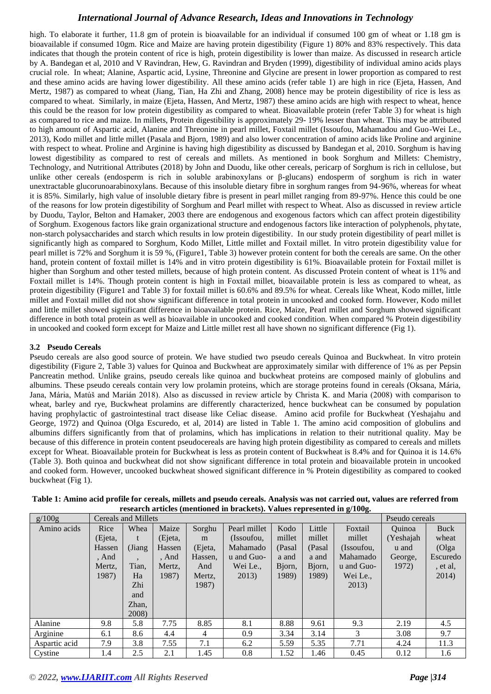high. To elaborate it further, 11.8 gm of protein is bioavailable for an individual if consumed 100 gm of wheat or 1.18 gm is bioavailable if consumed 10gm. Rice and Maize are having protein digestibility (Figure 1) 80% and 83% respectively. This data indicates that though the protein content of rice is high, protein digestibility is lower than maize. As discussed in research article by A. Bandegan et al, 2010 and V Ravindran, Hew, G. Ravindran and Bryden (1999), digestibility of individual amino acids plays crucial role. In wheat; Alanine, Aspartic acid, Lysine, Threonine and Glycine are present in lower proportion as compared to rest and these amino acids are having lower digestibility. All these amino acids (refer table 1) are high in rice (Ejeta, Hassen, And Mertz, 1987) as compared to wheat (Jiang, Tian, Ha Zhi and Zhang, 2008) hence may be protein digestibility of rice is less as compared to wheat. Similarly, in maize (Ejeta, Hassen, And Mertz, 1987) these amino acids are high with respect to wheat, hence this could be the reason for low protein digestibility as compared to wheat. Bioavailable protein (refer Table 3) for wheat is high as compared to rice and maize. In millets, Protein digestibility is approximately 29- 19% lesser than wheat. This may be attributed to high amount of Aspartic acid, Alanine and Threonine in pearl millet, Foxtail millet (Issoufou, Mahamadou and Guo-Wei Le., 2013), Kodo millet and little millet (Pasala and Bjorn, 1989) and also lower concentration of amino acids like Proline and arginine with respect to wheat. Proline and Arginine is having high digestibility as discussed by Bandegan et al, 2010. Sorghum is having lowest digestibility as compared to rest of cereals and millets. As mentioned in book Sorghum and Millets: Chemistry, Technology, and Nutritional Attributes (2018) by John and Duodu, like other cereals, pericarp of Sorghum is rich in cellulose, but unlike other cereals (endosperm is rich in soluble arabinoxylans or β-glucans) endosperm of sorghum is rich in water unextractable glucorunoarabinoxylans. Because of this insoluble dietary fibre in sorghum ranges from 94-96%, whereas for wheat it is 85%. Similarly, high value of insoluble dietary fibre is present in pearl millet ranging from 89-97%. Hence this could be one of the reasons for low protein digestibility of Sorghum and Pearl millet with respect to Wheat. Also as discussed in review article by Duodu, Taylor, Belton and Hamaker, 2003 there are endogenous and exogenous factors which can affect protein digestibility of Sorghum. Exogenous factors like grain organizational structure and endogenous factors like interaction of polyphenols, phytate, non-starch polysaccharides and starch which results in low protein digestibility. In our study protein digestibility of pearl millet is significantly high as compared to Sorghum, Kodo Millet, Little millet and Foxtail millet. In vitro protein digestibility value for pearl millet is 72% and Sorghum it is 59 %, (Figure1, Table 3) however protein content for both the cereals are same. On the other hand, protein content of foxtail millet is 14% and in vitro protein digestibility is 61%. Bioavailable protein for Foxtail millet is higher than Sorghum and other tested millets, because of high protein content. As discussed Protein content of wheat is 11% and Foxtail millet is 14%. Though protein content is high in Foxtail millet, bioavailable protein is less as compared to wheat, as protein digestibility (Figure1 and Table 3) for foxtail millet is 60.6% and 89.5% for wheat. Cereals like Wheat, Kodo millet, little millet and Foxtail millet did not show significant difference in total protein in uncooked and cooked form. However, Kodo millet and little millet showed significant difference in bioavailable protein. Rice, Maize, Pearl millet and Sorghum showed significant difference in both total protein as well as bioavailable in uncooked and cooked condition. When compared % Protein digestibility in uncooked and cooked form except for Maize and Little millet rest all have shown no significant difference (Fig 1).

## **3.2 Pseudo Cereals**

Pseudo cereals are also good source of protein. We have studied two pseudo cereals Quinoa and Buckwheat. In vitro protein digestibility (Figure 2, Table 3) values for Quinoa and Buckwheat are approximately similar with difference of 1% as per Pepsin Pancreatin method. Unlike grains, pseudo cereals like quinoa and buckwheat proteins are composed mainly of globulins and albumins. These pseudo cereals contain very low prolamin proteins, which are storage proteins found in cereals (Oksana, Mária, Jana, Mária, Matúš and Marián 2018). Also as discussed in review article by Christa K. and Maria (2008) with comparison to wheat, barley and rye, Buckwheat prolamins are differently characterized, hence buckwheat can be consumed by population having prophylactic of gastrointestinal tract disease like Celiac disease. Amino acid profile for Buckwheat (Yeshajahu and George, 1972) and Quinoa (Olga Escuredo, et al, 2014) are listed in Table 1. The amino acid composition of globulins and albumins differs significantly from that of prolamins, which has implications in relation to their nutritional quality. May be because of this difference in protein content pseudocereals are having high protein digestibility as compared to cereals and millets except for Wheat. Bioavailable protein for Buckwheat is less as protein content of Buckwheat is 8.4% and for Quinoa it is 14.6% (Table 3). Both quinoa and buckwheat did not show significant difference in total protein and bioavailable protein in uncooked and cooked form. However, uncooked buckwheat showed significant difference in % Protein digestibility as compared to cooked buckwheat (Fig 1).

| g/100g        | Cereals and Millets | Pseudo cereals |         |         |              |        |        |            |           |          |
|---------------|---------------------|----------------|---------|---------|--------------|--------|--------|------------|-----------|----------|
| Amino acids   | Rice                | Whea           | Maize   | Sorghu  | Pearl millet | Kodo   | Little | Foxtail    | Quinoa    | Buck     |
|               | (Ejeta,             | t              | (Ejeta, | m       | (Issoufou,   | millet | millet | millet     | (Yeshajah | wheat    |
|               | Hassen              | (Jiang)        | Hassen  | (Ejeta, | Mahamado     | (Pasal | (Pasal | (Issoufou, | u and     | (Olga    |
|               | , And               |                | , And   | Hassen, | u and Guo-   | a and  | a and  | Mahamado   | George,   | Escuredo |
|               | Mertz,              | Tian,          | Mertz,  | And     | Wei Le.,     | Bjorn, | Bjorn, | u and Guo- | 1972)     | , et al, |
|               | 1987)               | Ha             | 1987)   | Mertz,  | 2013)        | 1989)  | 1989)  | Wei Le.,   |           | 2014)    |
|               |                     | Zhi            |         | 1987)   |              |        |        | 2013)      |           |          |
|               |                     | and            |         |         |              |        |        |            |           |          |
|               |                     | Zhan,          |         |         |              |        |        |            |           |          |
|               |                     | 2008)          |         |         |              |        |        |            |           |          |
| Alanine       | 9.8                 | 5.8            | 7.75    | 8.85    | 8.1          | 8.88   | 9.61   | 9.3        | 2.19      | 4.5      |
| Arginine      | 6.1                 | 8.6            | 4.4     | 4       | 0.9          | 3.34   | 3.14   | 3          | 3.08      | 9.7      |
| Aspartic acid | 7.9                 | 3.8            | 7.55    | 7.1     | 6.2          | 5.59   | 5.35   | 7.71       | 4.24      | 11.3     |
| Cystine       | 1.4                 | 2.5            | 2.1     | 1.45    | 0.8          | 1.52   | 1.46   | 0.45       | 0.12      | 1.6      |

| Table 1: Amino acid profile for cereals, millets and pseudo cereals. Analysis was not carried out, values are referred from |
|-----------------------------------------------------------------------------------------------------------------------------|
| research articles (mentioned in brackets). Values represented in g/100g.                                                    |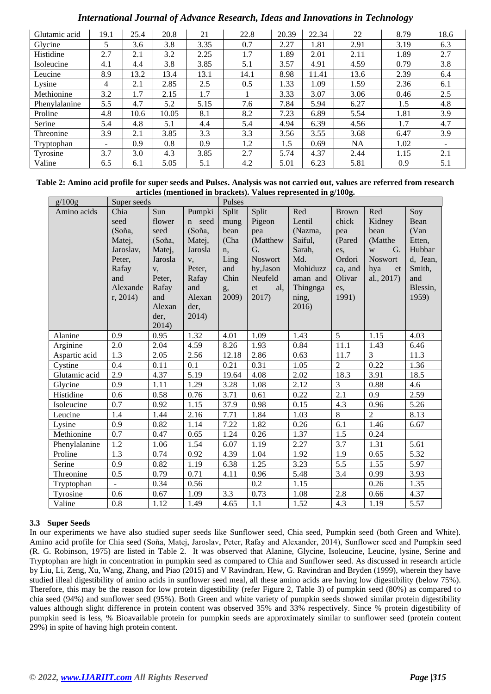| Glutamic acid | 19.1                     | 25.4 | 20.8  | 21   | 22.8 | 20.39 | 22.34 | 22   | 8.79 | 18.6 |
|---------------|--------------------------|------|-------|------|------|-------|-------|------|------|------|
| Glycine       | 5                        | 3.6  | 3.8   | 3.35 | 0.7  | 2.27  | 1.81  | 2.91 | 3.19 | 6.3  |
| Histidine     | 2.7                      | 2.1  | 3.2   | 2.25 | 1.7  | 1.89  | 2.01  | 2.11 | 1.89 | 2.7  |
| Isoleucine    | 4.1                      | 4.4  | 3.8   | 3.85 | 5.1  | 3.57  | 4.91  | 4.59 | 0.79 | 3.8  |
| Leucine       | 8.9                      | 13.2 | 13.4  | 13.1 | 14.1 | 8.98  | 11.41 | 13.6 | 2.39 | 6.4  |
| Lysine        | 4                        | 2.1  | 2.85  | 2.5  | 0.5  | 1.33  | 1.09  | 1.59 | 2.36 | 6.1  |
| Methionine    | 3.2                      | 1.7  | 2.15  | 1.7  |      | 3.33  | 3.07  | 3.06 | 0.46 | 2.5  |
| Phenylalanine | 5.5                      | 4.7  | 5.2   | 5.15 | 7.6  | 7.84  | 5.94  | 6.27 | 1.5  | 4.8  |
| Proline       | 4.8                      | 10.6 | 10.05 | 8.1  | 8.2  | 7.23  | 6.89  | 5.54 | 1.81 | 3.9  |
| Serine        | 5.4                      | 4.8  | 5.1   | 4.4  | 5.4  | 4.94  | 6.39  | 4.56 | 1.7  | 4.7  |
| Threonine     | 3.9                      | 2.1  | 3.85  | 3.3  | 3.3  | 3.56  | 3.55  | 3.68 | 6.47 | 3.9  |
| Tryptophan    | $\overline{\phantom{0}}$ | 0.9  | 0.8   | 0.9  | 1.2  | 1.5   | 0.69  | NA   | 1.02 |      |
| Tyrosine      | 3.7                      | 3.0  | 4.3   | 3.85 | 2.7  | 5.74  | 4.37  | 2.44 | 1.15 | 2.1  |
| Valine        | 6.5                      | 6.1  | 5.05  | 5.1  | 4.2  | 5.01  | 6.23  | 5.81 | 0.9  | 5.1  |

| Table 2: Amino acid profile for super seeds and Pulses. Analysis was not carried out, values are referred from research |
|-------------------------------------------------------------------------------------------------------------------------|
| articles (mentioned in brackets). Values represented in g/100g.                                                         |

| g/100g        | Super seeds |         |         | Pulses |           |          |                |                |          |  |
|---------------|-------------|---------|---------|--------|-----------|----------|----------------|----------------|----------|--|
| Amino acids   | Chia        | Sun     | Pumpki  | Split  | Split     | Red      | <b>Brown</b>   | Red            | Soy      |  |
|               | seed        | flower  | n seed  | mung   | Pigeon    | Lentil   | chick          | Kidney         | Bean     |  |
|               | (Soňa,      | seed    | (Soňa,  | bean   | pea       | (Nazma,  | pea            | bean           | (Van     |  |
|               | Matej,      | (Soňa,  | Matej,  | (Cha   | (Matthew  | Saiful,  | (Pared         | (Matthe        | Etten,   |  |
|               | Jaroslav,   | Matej,  | Jarosla | n,     | G.        | Sarah,   | es,            | G.<br>W        | Hubbar   |  |
|               | Peter,      | Jarosla | V,      | Ling   | Noswort   | Md.      | Ordori         | Noswort        | d, Jean, |  |
|               | Rafay       | V,      | Peter,  | and    | hy, Jason | Mohiduzz | ca, and        | et<br>hya      | Smith,   |  |
|               | and         | Peter,  | Rafay   | Chin   | Neufeld   | aman and | Olivar         | al., 2017)     | and      |  |
|               | Alexande    | Rafay   | and     | g,     | et<br>al. | Thingnga | es,            |                | Blessin, |  |
|               | r, 2014     | and     | Alexan  | 2009)  | 2017)     | ning,    | 1991)          |                | 1959)    |  |
|               |             | Alexan  | der,    |        |           | 2016)    |                |                |          |  |
|               |             | der,    | 2014)   |        |           |          |                |                |          |  |
|               | 0.9         | 2014)   |         |        | 1.09      | 1.43     | 5              |                | 4.03     |  |
| Alanine       |             | 0.95    | 1.32    | 4.01   |           |          |                | 1.15           |          |  |
| Arginine      | 2.0         | 2.04    | 4.59    | 8.26   | 1.93      | 0.84     | 11.1           | 1.43           | 6.46     |  |
| Aspartic acid | 1.3         | 2.05    | 2.56    | 12.18  | 2.86      | 0.63     | 11.7           | 3              | 11.3     |  |
| Cystine       | 0.4         | 0.11    | 0.1     | 0.21   | 0.31      | 1.05     | $\overline{2}$ | 0.22           | 1.36     |  |
| Glutamic acid | 2.9         | 4.37    | 5.19    | 19.64  | 4.08      | 2.02     | 18.3           | 3.91           | 18.5     |  |
| Glycine       | 0.9         | 1.11    | 1.29    | 3.28   | 1.08      | 2.12     | 3              | 0.88           | 4.6      |  |
| Histidine     | 0.6         | 0.58    | 0.76    | 3.71   | 0.61      | 0.22     | 2.1            | 0.9            | 2.59     |  |
| Isoleucine    | 0.7         | 0.92    | 1.15    | 37.9   | 0.98      | 0.15     | 4.3            | 0.96           | 5.26     |  |
| Leucine       | 1.4         | 1.44    | 2.16    | 7.71   | 1.84      | 1.03     | 8              | $\overline{2}$ | 8.13     |  |
| Lysine        | 0.9         | 0.82    | 1.14    | 7.22   | 1.82      | 0.26     | 6.1            | 1.46           | 6.67     |  |
| Methionine    | 0.7         | 0.47    | 0.65    | 1.24   | 0.26      | 1.37     | 1.5            | 0.24           |          |  |
| Phenylalanine | 1.2         | 1.06    | 1.54    | 6.07   | 1.19      | 2.27     | 3.7            | 1.31           | 5.61     |  |
| Proline       | 1.3         | 0.74    | 0.92    | 4.39   | 1.04      | 1.92     | 1.9            | 0.65           | 5.32     |  |
| Serine        | 0.9         | 0.82    | 1.19    | 6.38   | 1.25      | 3.23     | 5.5            | 1.55           | 5.97     |  |
| Threonine     | 0.5         | 0.79    | 0.71    | 4.11   | 0.96      | 5.48     | 3.4            | 0.99           | 3.93     |  |
| Tryptophan    |             | 0.34    | 0.56    |        | 0.2       | 1.15     |                | 0.26           | 1.35     |  |
| Tyrosine      | 0.6         | 0.67    | 1.09    | 3.3    | 0.73      | 1.08     | 2.8            | 0.66           | 4.37     |  |
| Valine        | 0.8         | 1.12    | 1.49    | 4.65   | 1.1       | 1.52     | 4.3            | 1.19           | 5.57     |  |

## **3.3 Super Seeds**

In our experiments we have also studied super seeds like Sunflower seed, Chia seed, Pumpkin seed (both Green and White). Amino acid profile for Chia seed (Soňa, Matej, Jaroslav, Peter, Rafay and Alexander, 2014), Sunflower seed and Pumpkin seed (R. G. Robinson, 1975) are listed in Table 2. It was observed that Alanine, Glycine, Isoleucine, Leucine, lysine, Serine and Tryptophan are high in concentration in pumpkin seed as compared to Chia and Sunflower seed. As discussed in research article by Liu, Li, Zeng, Xu, Wang, Zhang, and Piao (2015) and V Ravindran, Hew, G. Ravindran and Bryden (1999), wherein they have studied illeal digestibility of amino acids in sunflower seed meal, all these amino acids are having low digestibility (below 75%). Therefore, this may be the reason for low protein digestibility (refer Figure 2, Table 3) of pumpkin seed (80%) as compared to chia seed (94%) and sunflower seed (95%). Both Green and white variety of pumpkin seeds showed similar protein digestibility values although slight difference in protein content was observed 35% and 33% respectively. Since % protein digestibility of pumpkin seed is less, % Bioavailable protein for pumpkin seeds are approximately similar to sunflower seed (protein content 29%) in spite of having high protein content.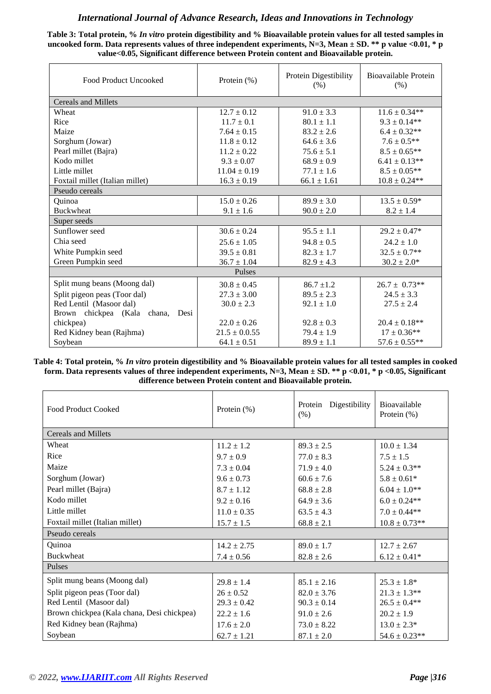**Table 3: Total protein, %** *In vitro* **protein digestibility and % Bioavailable protein values for all tested samples in**  uncooked form. Data represents values of three independent experiments, N=3, Mean  $\pm$  SD. \*\* p value <0.01, \* p **value<0.05, Significant difference between Protein content and Bioavailable protein.**

| Food Product Uncooked               | Protein $(\% )$   | Protein Digestibility<br>(% ) | Bioavailable Protein<br>(% ) |  |
|-------------------------------------|-------------------|-------------------------------|------------------------------|--|
| <b>Cereals and Millets</b>          |                   |                               |                              |  |
| Wheat                               | $12.7 \pm 0.12$   | $91.0 \pm 3.3$                | $11.6 \pm 0.34**$            |  |
| Rice                                | $11.7 \pm 0.1$    | $80.1 \pm 1.1$                | $9.3 \pm 0.14***$            |  |
| Maize                               | $7.64 \pm 0.15$   | $83.2 \pm 2.6$                | $6.4\pm0.32**$               |  |
| Sorghum (Jowar)                     | $11.8 \pm 0.12$   | $64.6 \pm 3.6$                | $7.6\pm0.5**$                |  |
| Pearl millet (Bajra)                | $11.2 \pm 0.22$   | $75.6 \pm 5.1$                | $8.5 \pm 0.65$ **            |  |
| Kodo millet                         | $9.3 \pm 0.07$    | $68.9 \pm 0.9$                | $6.41\pm0.13**$              |  |
| Little millet                       | $11.04 \pm 0.19$  | $77.1 \pm 1.6$                | $8.5 \pm 0.05***$            |  |
| Foxtail millet (Italian millet)     | $16.3 \pm 0.19$   | $66.1 \pm 1.61$               | $10.8 \pm 0.24***$           |  |
| Pseudo cereals                      |                   |                               |                              |  |
| Quinoa                              | $15.0 \pm 0.26$   | $89.9 \pm 3.0$                | $13.5 \pm 0.59*$             |  |
| <b>Buckwheat</b>                    | $9.1 \pm 1.6$     | $90.0 \pm 2.0$                | $8.2 \pm 1.4$                |  |
| Super seeds                         |                   |                               |                              |  |
| Sunflower seed                      | $30.6 \pm 0.24$   | $95.5 \pm 1.1$                | $29.2 \pm 0.47*$             |  |
| Chia seed                           | $25.6 \pm 1.05$   | $94.8 \pm 0.5$                | $24.2 \pm 1.0$               |  |
| White Pumpkin seed                  | $39.5 \pm 0.81$   | $82.3 \pm 1.7$                | $32.5 \pm 0.7$ **            |  |
| Green Pumpkin seed                  | $36.7 \pm 1.04$   | $82.9 \pm 4.3$                | $30.2 \pm 2.0*$              |  |
|                                     | Pulses            |                               |                              |  |
| Split mung beans (Moong dal)        | $30.8 \pm 0.45$   | $86.7 \pm 1.2$                | $26.7 \pm 0.73**$            |  |
| Split pigeon peas (Toor dal)        | $27.3 \pm 3.00$   | $89.5 \pm 2.3$                | $24.5 \pm 3.3$               |  |
| Red Lentil (Masoor dal)             | $30.0 \pm 2.3$    | $92.1 \pm 1.0$                | $27.5 \pm 2.4$               |  |
| Brown chickpea (Kala chana,<br>Desi |                   |                               |                              |  |
| chickpea)                           | $22.0 \pm 0.26$   | $92.8 \pm 0.3$                | $20.4 \pm 0.18**$            |  |
| Red Kidney bean (Rajhma)            | $21.5 \pm 0.0.55$ | $79.4 \pm 1.9$                | $17 \pm 0.36**$              |  |
| Soybean                             | $64.1 \pm 0.51$   | $89.9 \pm 1.1$                | $57.6 \pm 0.55***$           |  |

**Table 4: Total protein, %** *In vitro* **protein digestibility and % Bioavailable protein values for all tested samples in cooked form. Data represents values of three independent experiments, N=3, Mean ± SD. \*\* p <0.01, \* p <0.05, Significant difference between Protein content and Bioavailable protein.**

| <b>Food Product Cooked</b>                 | Protein (%)     | Protein<br>Digestibility<br>(% ) | Bioavailable<br>Protein $(\%)$ |  |  |  |  |  |
|--------------------------------------------|-----------------|----------------------------------|--------------------------------|--|--|--|--|--|
| <b>Cereals and Millets</b>                 |                 |                                  |                                |  |  |  |  |  |
| Wheat                                      | $11.2 \pm 1.2$  | $89.3 \pm 2.5$                   | $10.0 \pm 1.34$                |  |  |  |  |  |
| Rice                                       | $9.7 \pm 0.9$   | $77.0 \pm 8.3$                   | $7.5 \pm 1.5$                  |  |  |  |  |  |
| Maize                                      | $7.3 \pm 0.04$  | $71.9 \pm 4.0$                   | $5.24 \pm 0.3**$               |  |  |  |  |  |
| Sorghum (Jowar)                            | $9.6 \pm 0.73$  | $60.6 \pm 7.6$                   | $5.8 \pm 0.61*$                |  |  |  |  |  |
| Pearl millet (Bajra)                       | $8.7 \pm 1.12$  | $68.8 \pm 2.8$                   | $6.04 \pm 1.0**$               |  |  |  |  |  |
| Kodo millet                                | $9.2 \pm 0.16$  | $64.9 \pm 3.6$                   | $6.0 \pm 0.24$ **              |  |  |  |  |  |
| Little millet                              | $11.0 \pm 0.35$ | $63.5 \pm 4.3$                   | $7.0 \pm 0.44**$               |  |  |  |  |  |
| Foxtail millet (Italian millet)            | $15.7 \pm 1.5$  | $68.8 \pm 2.1$                   | $10.8 \pm 0.73**$              |  |  |  |  |  |
| Pseudo cereals                             |                 |                                  |                                |  |  |  |  |  |
| Quinoa                                     | $14.2 \pm 2.75$ | $89.0 \pm 1.7$                   | $12.7 \pm 2.67$                |  |  |  |  |  |
| <b>Buckwheat</b>                           | $7.4 \pm 0.56$  | $82.8 \pm 2.6$                   | $6.12 \pm 0.41*$               |  |  |  |  |  |
| Pulses                                     |                 |                                  |                                |  |  |  |  |  |
| Split mung beans (Moong dal)               | $29.8 \pm 1.4$  | $85.1 \pm 2.16$                  | $25.3 \pm 1.8^*$               |  |  |  |  |  |
| Split pigeon peas (Toor dal)               | $26 \pm 0.52$   | $82.0 \pm 3.76$                  | $21.3 \pm 1.3**$               |  |  |  |  |  |
| Red Lentil (Masoor dal)                    | $29.3 \pm 0.42$ | $90.3 \pm 0.14$                  | $26.5 \pm 0.4**$               |  |  |  |  |  |
| Brown chickpea (Kala chana, Desi chickpea) | $22.2 \pm 1.6$  | $91.0 \pm 2.6$                   | $20.2 \pm 1.9$                 |  |  |  |  |  |
| Red Kidney bean (Rajhma)                   | $17.6 \pm 2.0$  | $73.0 \pm 8.22$                  | $13.0 \pm 2.3*$                |  |  |  |  |  |
| Soybean                                    | $62.7 \pm 1.21$ | $87.1 \pm 2.0$                   | $54.6 \pm 0.23**$              |  |  |  |  |  |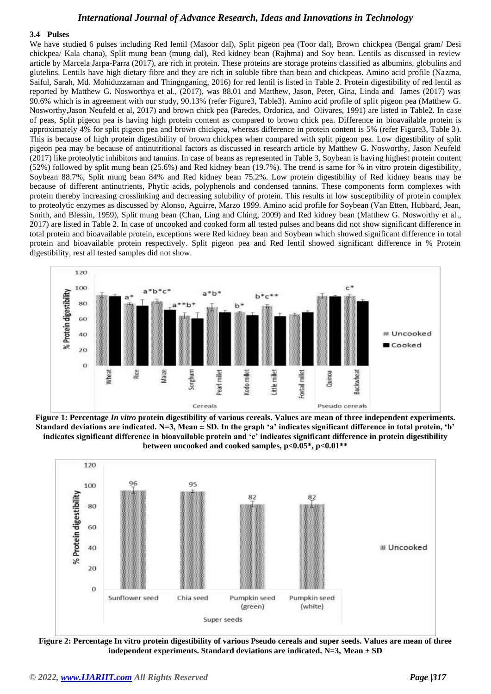#### **3.4 Pulses**

We have studied 6 pulses including Red lentil (Masoor dal), Split pigeon pea (Toor dal), Brown chickpea (Bengal gram/ Desi chickpea/ Kala chana), Split mung bean (mung dal), Red kidney bean (Rajhma) and Soy bean. Lentils as discussed in review article by Marcela Jarpa-Parra (2017), are rich in protein. These proteins are storage proteins classified as albumins, globulins and glutelins. Lentils have high dietary fibre and they are rich in soluble fibre than bean and chickpeas. Amino acid profile (Nazma, Saiful, Sarah, Md. Mohiduzzaman and Thingnganing, 2016) for red lentil is listed in Table 2. Protein digestibility of red lentil as reported by Matthew G. Nosworthya et al., (2017), was 88.01 and Matthew, Jason, Peter, Gina, Linda and James (2017) was 90.6% which is in agreement with our study, 90.13% (refer Figure3, Table3). Amino acid profile of split pigeon pea (Matthew G. Nosworthy,Jason Neufeld et al, 2017) and brown chick pea (Paredes, Ordorica, and Olivares, 1991) are listed in Table2. In case of peas, Split pigeon pea is having high protein content as compared to brown chick pea. Difference in bioavailable protein is approximately 4% for split pigeon pea and brown chickpea, whereas difference in protein content is 5% (refer Figure3, Table 3). This is because of high protein digestibility of brown chickpea when compared with split pigeon pea. Low digestibility of split pigeon pea may be because of antinutritional factors as discussed in research article by Matthew G. Nosworthy, Jason Neufeld (2017) like proteolytic inhibitors and tannins. In case of beans as represented in Table 3, Soybean is having highest protein content (52%) followed by split mung bean (25.6%) and Red kidney bean (19.7%). The trend is same for % in vitro protein digestibility, Soybean 88.7%, Split mung bean 84% and Red kidney bean 75.2%. Low protein digestibility of Red kidney beans may be because of different antinutrients, Phytic acids, polyphenols and condensed tannins. These components form complexes with protein thereby increasing crosslinking and decreasing solubility of protein. This results in low susceptibility of protein complex to proteolytic enzymes as discussed by Alonso, Aguirre, Marzo 1999. Amino acid profile for Soybean (Van Etten, Hubbard, Jean, Smith, and Blessin, 1959), Split mung bean (Chan, Ling and Ching, 2009) and Red kidney bean (Matthew G. Nosworthy et al., 2017) are listed in Table 2. In case of uncooked and cooked form all tested pulses and beans did not show significant difference in total protein and bioavailable protein, exceptions were Red kidney bean and Soybean which showed significant difference in total protein and bioavailable protein respectively. Split pigeon pea and Red lentil showed significant difference in % Protein digestibility, rest all tested samples did not show.



**Figure 1: Percentage** *In vitro* **protein digestibility of various cereals. Values are mean of three independent experiments. Standard deviations are indicated. N=3, Mean ± SD. In the graph 'a' indicates significant difference in total protein, 'b' indicates significant difference in bioavailable protein and 'c' indicates significant difference in protein digestibility between uncooked and cooked samples, p<0.05\*, p<0.01\*\***



**Figure 2: Percentage In vitro protein digestibility of various Pseudo cereals and super seeds. Values are mean of three independent experiments. Standard deviations are indicated. N=3, Mean ± SD**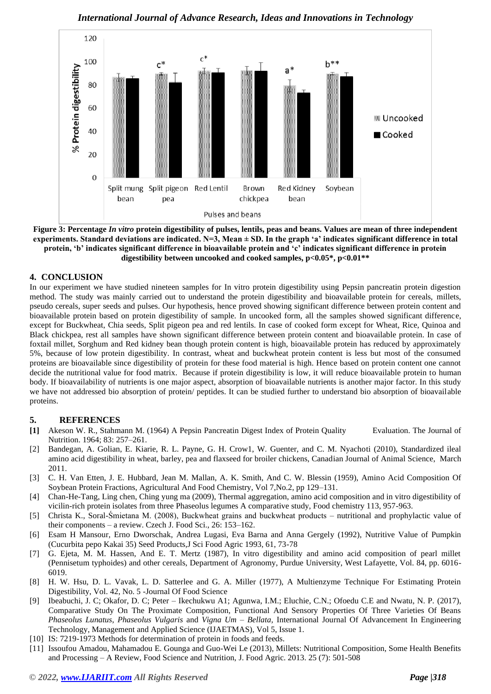*International Journal of Advance Research, Ideas and Innovations in Technology*



**Figure 3: Percentage** *In vitro* **protein digestibility of pulses, lentils, peas and beans. Values are mean of three independent experiments. Standard deviations are indicated. N=3, Mean ± SD. In the graph 'a' indicates significant difference in total protein, 'b' indicates significant difference in bioavailable protein and 'c' indicates significant difference in protein digestibility between uncooked and cooked samples, p<0.05\*, p<0.01\*\***

## **4. CONCLUSION**

In our experiment we have studied nineteen samples for In vitro protein digestibility using Pepsin pancreatin protein digestion method. The study was mainly carried out to understand the protein digestibility and bioavailable protein for cereals, millets, pseudo cereals, super seeds and pulses. Our hypothesis, hence proved showing significant difference between protein content and bioavailable protein based on protein digestibility of sample. In uncooked form, all the samples showed significant difference, except for Buckwheat, Chia seeds, Split pigeon pea and red lentils. In case of cooked form except for Wheat, Rice, Quinoa and Black chickpea, rest all samples have shown significant difference between protein content and bioavailable protein. In case of foxtail millet, Sorghum and Red kidney bean though protein content is high, bioavailable protein has reduced by approximately 5%, because of low protein digestibility. In contrast, wheat and buckwheat protein content is less but most of the consumed proteins are bioavailable since digestibility of protein for these food material is high. Hence based on protein content one cannot decide the nutritional value for food matrix. Because if protein digestibility is low, it will reduce bioavailable protein to human body. If bioavailability of nutrients is one major aspect, absorption of bioavailable nutrients is another major factor. In this study we have not addressed bio absorption of protein/ peptides. It can be studied further to understand bio absorption of bioavailable proteins.

## **5. REFERENCES**

- **[1]** Akeson W. R., Stahmann M. (1964) A Pepsin Pancreatin Digest Index of Protein Quality Evaluation. The Journal of Nutrition. 1964; 83: 257–261.
- [2] Bandegan, A. Golian, E. Kiarie, R. L. Payne, G. H. Crow1, W. Guenter, and C. M. Nyachoti (2010), Standardized ileal amino acid digestibility in wheat, barley, pea and flaxseed for broiler chickens, Canadian Journal of Animal Science, March 2011.
- [3] C. H. Van Etten, J. E. Hubbard, Jean M. Mallan, A. K. Smith, And C. W. Blessin (1959), Amino Acid Composition Of Soybean Protein Fractions, Agricultural And Food Chemistry, Vol 7,No.2, pp 129–131.
- [4] Chan-He-Tang, Ling chen, Ching yung ma (2009), Thermal aggregation, amino acid composition and in vitro digestibility of vicilin-rich protein isolates from three Phaseolus legumes A comparative study, Food chemistry 113, 957-963.
- [5] Christa K., Soral-Śmietana M. (2008), Buckwheat grains and buckwheat products nutritional and prophylactic value of their components – a review. Czech J. Food Sci., 26: 153–162.
- [6] Esam H Mansour, Erno Dworschak, Andrea Lugasi, Eva Barna and Anna Gergely (1992), Nutritive Value of Pumpkin (Cucurbita pepo Kakai 35) Seed Products,J Sci Food Agric 1993, 61, 73-78
- [7] G. Ejeta, M. M. Hassen, And E. T. Mertz (1987), In vitro digestibility and amino acid composition of pearl millet (Pennisetum typhoides) and other cereals, Department of Agronomy, Purdue University, West Lafayette, Vol. 84, pp. 6016- 6019.
- [8] H. W. Hsu, D. L. Vavak, L. D. Satterlee and G. A. Miller (1977), A Multienzyme Technique For Estimating Protein Digestibility, Vol. 42, No. 5 -Journal Of Food Science
- [9] Ibeabuchi, J. C; Okafor, D. C; Peter Ikechukwu A1; Agunwa, I.M.; Eluchie, C.N.; Ofoedu C.E and Nwatu, N. P. (2017), Comparative Study On The Proximate Composition, Functional And Sensory Properties Of Three Varieties Of Beans *Phaseolus Lunatus*, *Phaseolus Vulgaris* and *Vigna Um – Bellata,* International Journal Of Advancement In Engineering Technology, Management and Applied Science (IJAETMAS), Vol 5, Issue 1.
- [10] IS: 7219-1973 Methods for determination of protein in foods and feeds.
- [11] Issoufou Amadou, Mahamadou E. Gounga and Guo-Wei Le (2013), Millets: Nutritional Composition, Some Health Benefits and Processing – A Review, Food Science and Nutrition, J. Food Agric. 2013. 25 (7): 501-508